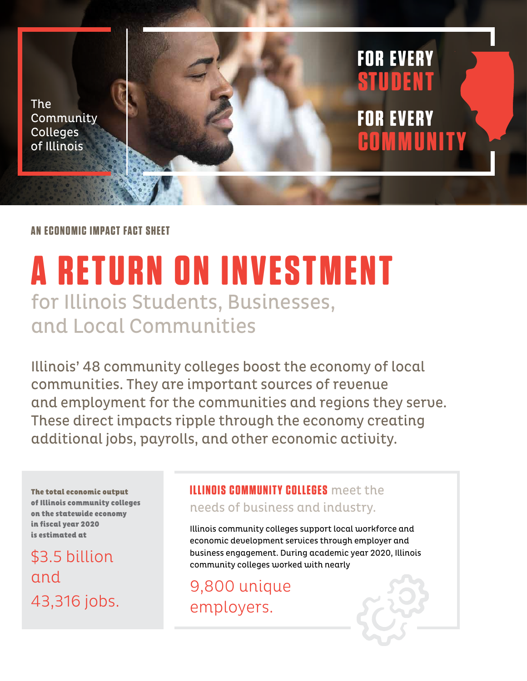The **Community** Colleges of Illinois

**AN ECONOMIC IMPACT FACT SHEET**

# **A RETURN ON INVESTMENT** for Illinois Students, Businesses, and Local Communities

Illinois' 48 community colleges boost the economy of local communities. They are important sources of revenue and employment for the communities and regions they serve. These direct impacts ripple through the economy creating additional jobs, payrolls, and other economic activity.

The total economic output of Illinois community colleges on the statewide economy in fiscal year 2020 is estimated at

\$3.5 billion and 43,316 jobs.

#### **ILLINOIS COMMUNITY COLLEGES** meet the

needs of business and industry.

Illinois community colleges support local workforce and economic development services through employer and business engagement. During academic year 2020, Illinois community colleges worked with nearly

**STUDEN T**

**FOR EVERY**

**COMMUNITY**

**FOR EVERY**

9,800 unique employers.